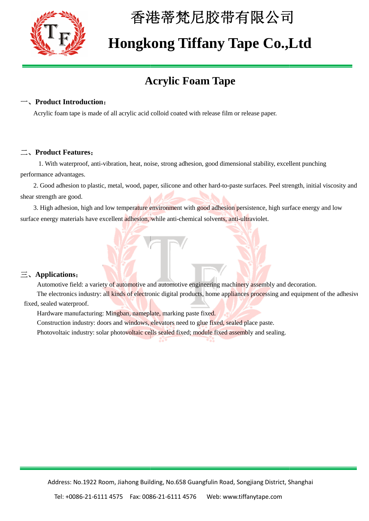

# 香港蒂梵尼胶带有限公司 香港蒂梵尼胶带有限公司

## **Hongkong Tiffany Tape Co.,Ltd Tape Co.,Ltd**

### **Acrylic Foam Tape**

#### **Product Introduction:**

Acrylic foam tape is made of all acrylic acid colloid coated with release film or release paper.

#### 二、**Product Features**:

 1. With waterproof, anti-vibration, heat, noise, strong adhesion, good dimensional stability, excellent punching performance advantages. rylic foam tape is made of all acrylic acid colloid coated with release film or release paper.<br> **roduct Features:**<br>
I. With waterproof, anti-vibration, heat, noise, strong adhesion, good dimensional stability, excellent pu

2. Good adhesion to plastic, metal, wood, paper, silicone and other hard-to-paste surfaces. Peel strength, initial viscosity and shear strength are good.

3. High adhesion, high and low temperature environment with good adhesion persistence, high surface energy and low<br>ce energy materials have excellent adhesion, while anti-chemical solvents, anti-ultraviolet. surface energy materials have excellent adhesion, while anti-chemical solvents, anti-ultraviolet.

#### 三、**Applications**:

Automotive field: a variety of automotive and automotive engineering machinery assembly and decoration.

The electronics industry: all kinds of electronic digital products, home appliances processing and equipment of the adhesiv fixed, sealed waterproof. Automotive field: a variety of automotive and automotive engineering machinery assembly and<br>The electronics industry: all kinds of electronic digital products, home appliances processing an<br>, sealed waterproof.<br>Hardware ma adhesive

Hardware manufacturing: Mingban, nameplate, marking paste fixed.

Construction industry: doors and windows, elevators need to glue fixed, sealed place paste.

Photovoltaic industry: solar photovoltaic cells sealed fixed; module fixed assembly and sealing.